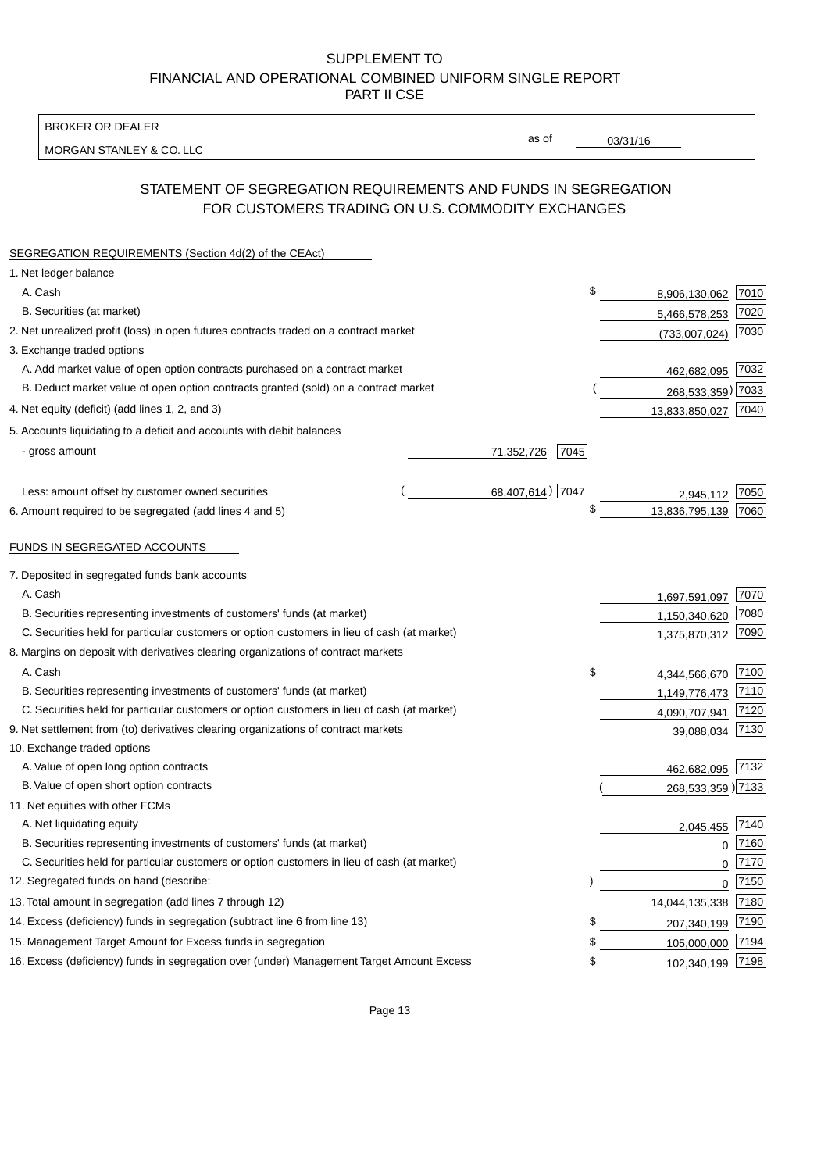BROKER OR DEALER

MORGAN STANLEY & CO. LLC

03/31/16

as of

# STATEMENT OF SEGREGATION REQUIREMENTS AND FUNDS IN SEGREGATION FOR CUSTOMERS TRADING ON U.S. COMMODITY EXCHANGES

| SEGREGATION REQUIREMENTS (Section 4d(2) of the CEAct)                                       |                    |                     |          |
|---------------------------------------------------------------------------------------------|--------------------|---------------------|----------|
| 1. Net ledger balance                                                                       |                    |                     |          |
| A. Cash                                                                                     | \$                 | 8,906,130,062 7010  |          |
| B. Securities (at market)                                                                   |                    | 5,466,578,253       | 7020     |
| 2. Net unrealized profit (loss) in open futures contracts traded on a contract market       |                    | (733,007,024)       | 7030     |
| 3. Exchange traded options                                                                  |                    |                     |          |
| A. Add market value of open option contracts purchased on a contract market                 |                    | 462,682,095 7032    |          |
| B. Deduct market value of open option contracts granted (sold) on a contract market         |                    | 268,533,359) 7033   |          |
| 4. Net equity (deficit) (add lines 1, 2, and 3)                                             |                    | 13,833,850,027 7040 |          |
| 5. Accounts liquidating to a deficit and accounts with debit balances                       |                    |                     |          |
| - gross amount                                                                              | 71,352,726<br>7045 |                     |          |
|                                                                                             |                    |                     |          |
| Less: amount offset by customer owned securities                                            | 68,407,614) 7047   | 2,945,112           | 7050     |
| 6. Amount required to be segregated (add lines 4 and 5)                                     | \$                 | 13,836,795,139      | 7060     |
|                                                                                             |                    |                     |          |
| FUNDS IN SEGREGATED ACCOUNTS                                                                |                    |                     |          |
| 7. Deposited in segregated funds bank accounts                                              |                    |                     |          |
| A. Cash                                                                                     |                    | 1,697,591,097       | 7070     |
| B. Securities representing investments of customers' funds (at market)                      |                    | 1,150,340,620       | 7080     |
| C. Securities held for particular customers or option customers in lieu of cash (at market) |                    | 1,375,870,312       | 7090     |
| 8. Margins on deposit with derivatives clearing organizations of contract markets           |                    |                     |          |
| A. Cash                                                                                     | \$                 | 4,344,566,670       | 7100     |
| B. Securities representing investments of customers' funds (at market)                      |                    | 1,149,776,473       | 7110     |
| C. Securities held for particular customers or option customers in lieu of cash (at market) |                    | 4,090,707,941       | 7120     |
| 9. Net settlement from (to) derivatives clearing organizations of contract markets          |                    | 39,088,034          | 7130     |
| 10. Exchange traded options                                                                 |                    |                     |          |
| A. Value of open long option contracts                                                      |                    | 462,682,095 7132    |          |
| B. Value of open short option contracts                                                     |                    | 268,533,359 )7133   |          |
| 11. Net equities with other FCMs                                                            |                    |                     |          |
| A. Net liquidating equity                                                                   |                    | 2,045,455           | 7140     |
| B. Securities representing investments of customers' funds (at market)                      |                    | $\mathbf 0$         | 7160     |
| C. Securities held for particular customers or option customers in lieu of cash (at market) |                    | $\mathbf 0$         | 7170     |
| 12. Segregated funds on hand (describe:                                                     |                    |                     | $0$ 7150 |
| 13. Total amount in segregation (add lines 7 through 12)                                    |                    | 14,044,135,338 7180 |          |
| 14. Excess (deficiency) funds in segregation (subtract line 6 from line 13)                 | \$                 | 207,340,199         | 7190     |
| 15. Management Target Amount for Excess funds in segregation                                | \$                 | 105,000,000         | 7194     |
| 16. Excess (deficiency) funds in segregation over (under) Management Target Amount Excess   | \$                 | 102,340,199 7198    |          |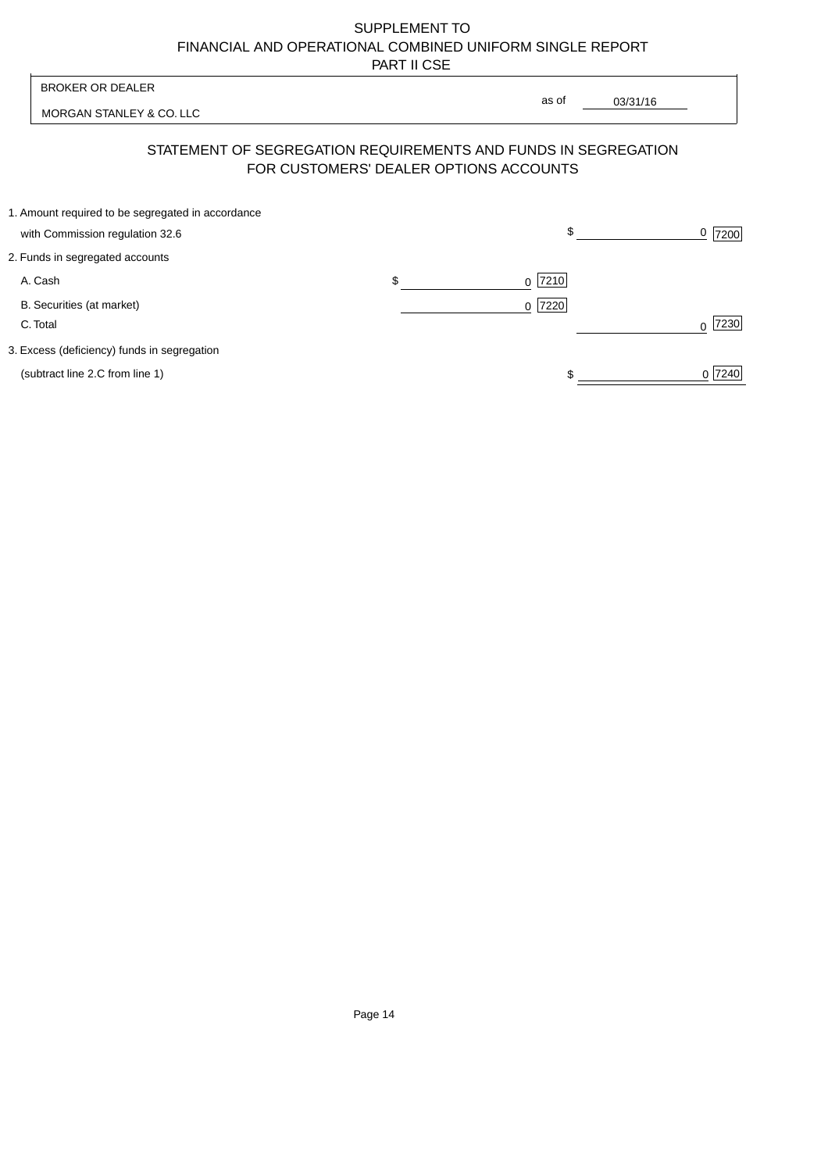| <b>BROKER OR DEALER</b>                                                              |    |                                        |          |           |
|--------------------------------------------------------------------------------------|----|----------------------------------------|----------|-----------|
| MORGAN STANLEY & CO. LLC                                                             |    | as of                                  | 03/31/16 |           |
| STATEMENT OF SEGREGATION REQUIREMENTS AND FUNDS IN SEGREGATION                       |    | FOR CUSTOMERS' DEALER OPTIONS ACCOUNTS |          |           |
| 1. Amount required to be segregated in accordance<br>with Commission regulation 32.6 |    | \$                                     |          | 0<br>7200 |
| 2. Funds in segregated accounts                                                      |    |                                        |          |           |
| A. Cash                                                                              | \$ | 7210<br>$\Omega$                       |          |           |
| B. Securities (at market)<br>C. Total                                                |    | $0$  7220                              |          | 7230      |
| 3. Excess (deficiency) funds in segregation                                          |    |                                        |          |           |
| (subtract line 2.C from line 1)                                                      |    |                                        |          | 0 7240    |
|                                                                                      |    |                                        |          |           |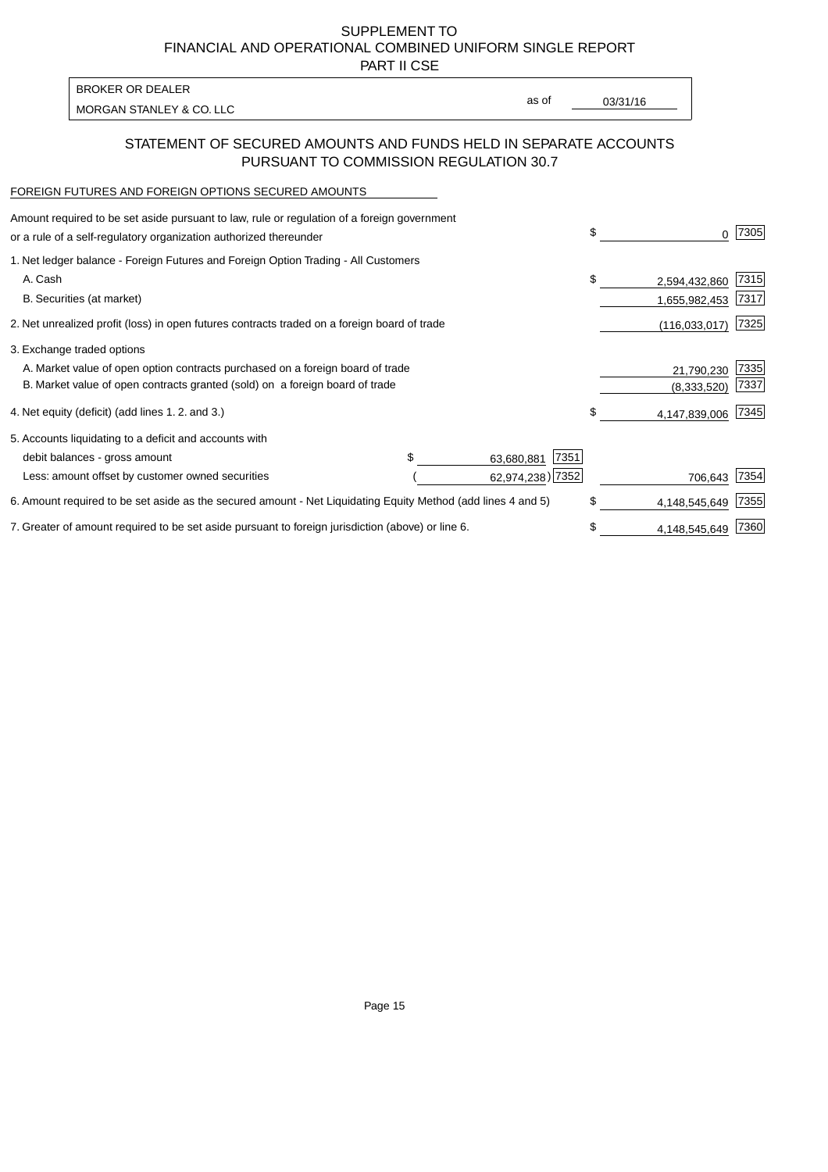PART II CSE

| BROKER OR DEALER         |       |          |
|--------------------------|-------|----------|
| MORGAN STANLEY & CO. LLC | as of | 03/31/16 |
|                          |       |          |

#### STATEMENT OF SECURED AMOUNTS AND FUNDS HELD IN SEPARATE ACCOUNTS PURSUANT TO COMMISSION REGULATION 30.7

#### FOREIGN FUTURES AND FOREIGN OPTIONS SECURED AMOUNTS

| Amount required to be set aside pursuant to law, rule or regulation of a foreign government                  |                    | \$ | 0                                  | 7305 |
|--------------------------------------------------------------------------------------------------------------|--------------------|----|------------------------------------|------|
| 1. Net ledger balance - Foreign Futures and Foreign Option Trading - All Customers                           |                    |    |                                    |      |
|                                                                                                              |                    | \$ | 2,594,432,860                      | 7315 |
|                                                                                                              |                    |    | 1,655,982,453                      | 7317 |
| 2. Net unrealized profit (loss) in open futures contracts traded on a foreign board of trade                 |                    |    | (116, 033, 017)                    | 7325 |
|                                                                                                              |                    |    |                                    |      |
| A. Market value of open option contracts purchased on a foreign board of trade                               |                    |    | 21,790,230                         | 7335 |
| B. Market value of open contracts granted (sold) on a foreign board of trade                                 |                    |    | (8,333,520)                        | 7337 |
| 4. Net equity (deficit) (add lines 1.2. and 3.)                                                              |                    |    | 4,147,839,006                      | 7345 |
|                                                                                                              |                    |    |                                    |      |
|                                                                                                              | 7351<br>63,680,881 |    |                                    |      |
|                                                                                                              |                    |    | 706,643                            | 7354 |
| 6. Amount required to be set aside as the secured amount - Net Liquidating Equity Method (add lines 4 and 5) |                    |    | 4,148,545,649                      | 7355 |
| 7. Greater of amount required to be set aside pursuant to foreign jurisdiction (above) or line 6.            |                    |    | 4,148,545,649                      | 7360 |
|                                                                                                              |                    |    | \$<br>62,974,238) 7352<br>\$<br>\$ |      |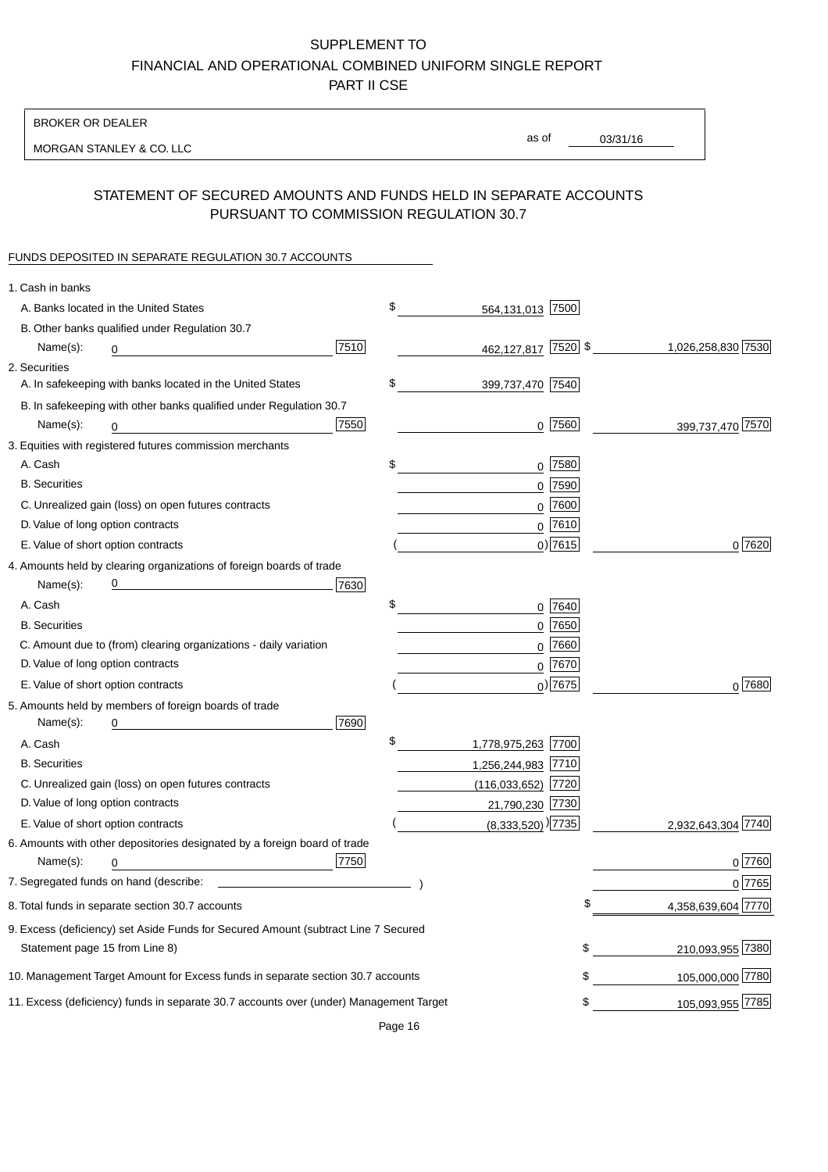BROKER OR DEALER

MORGAN STANLEY & CO. LLC

03/31/16

as of

## STATEMENT OF SECURED AMOUNTS AND FUNDS HELD IN SEPARATE ACCOUNTS PURSUANT TO COMMISSION REGULATION 30.7

#### FUNDS DEPOSITED IN SEPARATE REGULATION 30.7 ACCOUNTS

| 1. Cash in banks                   |                                                                                                                      |      |                                   |            |                    |
|------------------------------------|----------------------------------------------------------------------------------------------------------------------|------|-----------------------------------|------------|--------------------|
|                                    | A. Banks located in the United States                                                                                |      | \$<br>564,131,013 7500            |            |                    |
|                                    | B. Other banks qualified under Regulation 30.7                                                                       |      |                                   |            |                    |
| Name(s):                           | 0                                                                                                                    | 7510 | 462,127,817 7520 \$               |            | 1,026,258,830 7530 |
| 2. Securities                      |                                                                                                                      |      |                                   |            |                    |
|                                    | A. In safekeeping with banks located in the United States                                                            |      | \$<br>399,737,470 7540            |            |                    |
|                                    | B. In safekeeping with other banks qualified under Regulation 30.7                                                   |      |                                   |            |                    |
| Name(s):                           | 0                                                                                                                    | 7550 |                                   | $0$ 7560   | 399,737,470 7570   |
|                                    | 3. Equities with registered futures commission merchants                                                             |      |                                   |            |                    |
| A. Cash                            |                                                                                                                      |      | \$                                | $0$ 7580   |                    |
| <b>B.</b> Securities               |                                                                                                                      |      |                                   | $0$ 7590   |                    |
|                                    | C. Unrealized gain (loss) on open futures contracts                                                                  |      |                                   | $0$ 7600   |                    |
| D. Value of long option contracts  |                                                                                                                      |      |                                   | $0$ 7610   |                    |
| E. Value of short option contracts |                                                                                                                      |      |                                   | $0$ ) 7615 | 0 7620             |
|                                    | 4. Amounts held by clearing organizations of foreign boards of trade                                                 |      |                                   |            |                    |
| Name(s):                           | <u> 1989 - Johann Barn, mars eta bat erroman erroman erroman erroman erroman erroman erroman erroman erroman err</u> | 7630 |                                   |            |                    |
| A. Cash                            |                                                                                                                      |      | \$                                | 0 7640     |                    |
| <b>B.</b> Securities               |                                                                                                                      |      |                                   | $0$ 7650   |                    |
|                                    | C. Amount due to (from) clearing organizations - daily variation                                                     |      |                                   | $0$ 7660   |                    |
| D. Value of long option contracts  |                                                                                                                      |      |                                   | $0^{7670}$ |                    |
| E. Value of short option contracts |                                                                                                                      |      |                                   | $0$ ) 7675 | 0 7680             |
|                                    | 5. Amounts held by members of foreign boards of trade                                                                |      |                                   |            |                    |
| Name(s):                           | 0                                                                                                                    | 7690 |                                   |            |                    |
| A. Cash                            |                                                                                                                      |      | \$<br>1,778,975,263 7700          |            |                    |
| <b>B.</b> Securities               |                                                                                                                      |      | 1,256,244,983 7710                |            |                    |
|                                    | C. Unrealized gain (loss) on open futures contracts                                                                  |      | $(116,033,652)$ 7720              |            |                    |
| D. Value of long option contracts  |                                                                                                                      |      | 21,790,230 7730                   |            |                    |
| E. Value of short option contracts |                                                                                                                      |      | $(8,333,520)$ <sup>)</sup> [7735] |            | 2,932,643,304 7740 |
|                                    | 6. Amounts with other depositories designated by a foreign board of trade                                            |      |                                   |            |                    |
| Name(s):                           | 0                                                                                                                    | 7750 |                                   |            | 0 7760             |
|                                    |                                                                                                                      |      |                                   |            | 0 7765             |
|                                    | 8. Total funds in separate section 30.7 accounts                                                                     |      |                                   | \$         | 4,358,639,604 7770 |
|                                    | 9. Excess (deficiency) set Aside Funds for Secured Amount (subtract Line 7 Secured                                   |      |                                   |            |                    |
| Statement page 15 from Line 8)     |                                                                                                                      |      |                                   | \$         | 210,093,955 7380   |
|                                    | 10. Management Target Amount for Excess funds in separate section 30.7 accounts                                      |      |                                   | \$         | 105,000,000 7780   |
|                                    | 11. Excess (deficiency) funds in separate 30.7 accounts over (under) Management Target                               |      |                                   | \$         | 105,093,955 7785   |